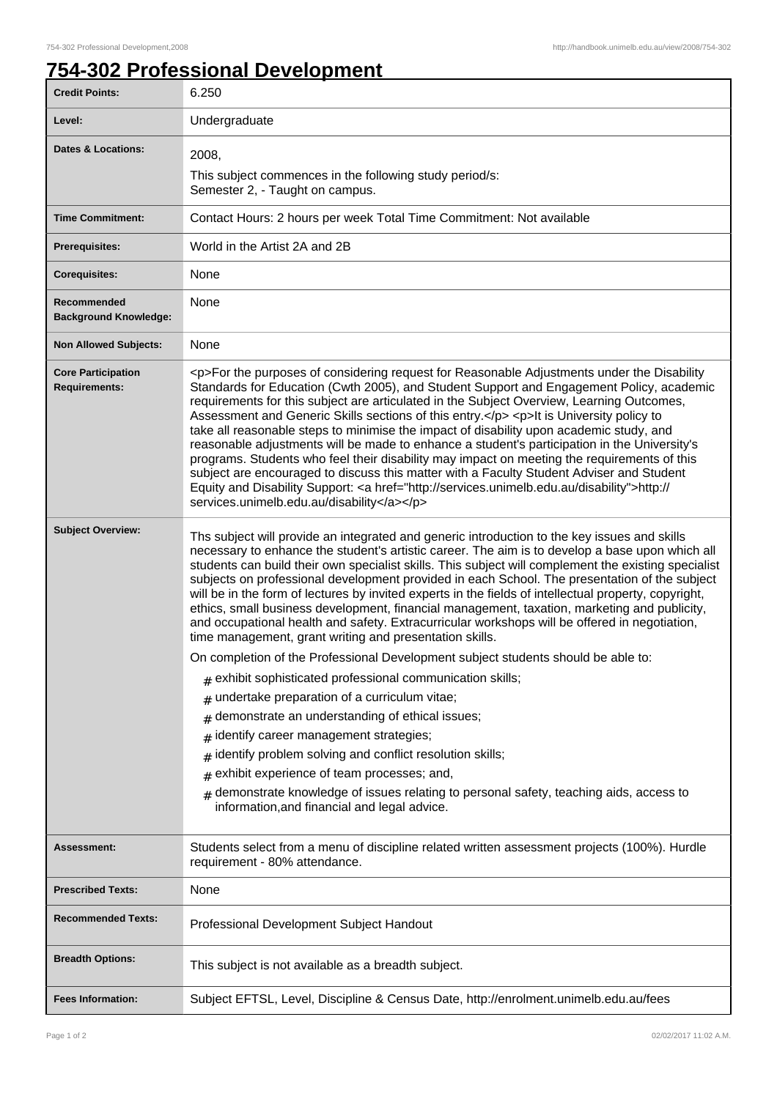## **754-302 Professional Development**

| <b>Credit Points:</b>                       | 6.250                                                                                                                                                                                                                                                                                                                                                                                                                                                                                                                                                                                                                                                                                                                                                                                                                                                                                                                        |
|---------------------------------------------|------------------------------------------------------------------------------------------------------------------------------------------------------------------------------------------------------------------------------------------------------------------------------------------------------------------------------------------------------------------------------------------------------------------------------------------------------------------------------------------------------------------------------------------------------------------------------------------------------------------------------------------------------------------------------------------------------------------------------------------------------------------------------------------------------------------------------------------------------------------------------------------------------------------------------|
| Level:                                      | Undergraduate                                                                                                                                                                                                                                                                                                                                                                                                                                                                                                                                                                                                                                                                                                                                                                                                                                                                                                                |
| <b>Dates &amp; Locations:</b>               | 2008,                                                                                                                                                                                                                                                                                                                                                                                                                                                                                                                                                                                                                                                                                                                                                                                                                                                                                                                        |
|                                             | This subject commences in the following study period/s:<br>Semester 2, - Taught on campus.                                                                                                                                                                                                                                                                                                                                                                                                                                                                                                                                                                                                                                                                                                                                                                                                                                   |
| <b>Time Commitment:</b>                     | Contact Hours: 2 hours per week Total Time Commitment: Not available                                                                                                                                                                                                                                                                                                                                                                                                                                                                                                                                                                                                                                                                                                                                                                                                                                                         |
| <b>Prerequisites:</b>                       | World in the Artist 2A and 2B                                                                                                                                                                                                                                                                                                                                                                                                                                                                                                                                                                                                                                                                                                                                                                                                                                                                                                |
| <b>Corequisites:</b>                        | None                                                                                                                                                                                                                                                                                                                                                                                                                                                                                                                                                                                                                                                                                                                                                                                                                                                                                                                         |
| Recommended<br><b>Background Knowledge:</b> | None                                                                                                                                                                                                                                                                                                                                                                                                                                                                                                                                                                                                                                                                                                                                                                                                                                                                                                                         |
| <b>Non Allowed Subjects:</b>                | None                                                                                                                                                                                                                                                                                                                                                                                                                                                                                                                                                                                                                                                                                                                                                                                                                                                                                                                         |
| <b>Core Participation</b><br>Requirements:  | <p>For the purposes of considering request for Reasonable Adjustments under the Disability<br/>Standards for Education (Cwth 2005), and Student Support and Engagement Policy, academic<br/>requirements for this subject are articulated in the Subject Overview, Learning Outcomes,<br/>Assessment and Generic Skills sections of this entry.</p> <p>lt is University policy to<br/>take all reasonable steps to minimise the impact of disability upon academic study, and<br/>reasonable adjustments will be made to enhance a student's participation in the University's<br/>programs. Students who feel their disability may impact on meeting the requirements of this<br/>subject are encouraged to discuss this matter with a Faculty Student Adviser and Student<br/>Equity and Disability Support: &lt; a href="http://services.unimelb.edu.au/disability"&gt;http://<br/>services.unimelb.edu.au/disability</p> |
| <b>Subject Overview:</b>                    | Ths subject will provide an integrated and generic introduction to the key issues and skills<br>necessary to enhance the student's artistic career. The aim is to develop a base upon which all<br>students can build their own specialist skills. This subject will complement the existing specialist<br>subjects on professional development provided in each School. The presentation of the subject<br>will be in the form of lectures by invited experts in the fields of intellectual property, copyright,<br>ethics, small business development, financial management, taxation, marketing and publicity,<br>and occupational health and safety. Extracurricular workshops will be offered in negotiation,<br>time management, grant writing and presentation skills.                                                                                                                                                |
|                                             | On completion of the Professional Development subject students should be able to:<br>exhibit sophisticated professional communication skills;                                                                                                                                                                                                                                                                                                                                                                                                                                                                                                                                                                                                                                                                                                                                                                                |
|                                             | undertake preparation of a curriculum vitae;<br>#                                                                                                                                                                                                                                                                                                                                                                                                                                                                                                                                                                                                                                                                                                                                                                                                                                                                            |
|                                             | demonstrate an understanding of ethical issues;<br>#                                                                                                                                                                                                                                                                                                                                                                                                                                                                                                                                                                                                                                                                                                                                                                                                                                                                         |
|                                             | identify career management strategies;<br>#                                                                                                                                                                                                                                                                                                                                                                                                                                                                                                                                                                                                                                                                                                                                                                                                                                                                                  |
|                                             | identify problem solving and conflict resolution skills;<br>#                                                                                                                                                                                                                                                                                                                                                                                                                                                                                                                                                                                                                                                                                                                                                                                                                                                                |
|                                             | exhibit experience of team processes; and,<br>#                                                                                                                                                                                                                                                                                                                                                                                                                                                                                                                                                                                                                                                                                                                                                                                                                                                                              |
|                                             | demonstrate knowledge of issues relating to personal safety, teaching aids, access to<br>information, and financial and legal advice.                                                                                                                                                                                                                                                                                                                                                                                                                                                                                                                                                                                                                                                                                                                                                                                        |
| Assessment:                                 | Students select from a menu of discipline related written assessment projects (100%). Hurdle<br>requirement - 80% attendance.                                                                                                                                                                                                                                                                                                                                                                                                                                                                                                                                                                                                                                                                                                                                                                                                |
| <b>Prescribed Texts:</b>                    | None                                                                                                                                                                                                                                                                                                                                                                                                                                                                                                                                                                                                                                                                                                                                                                                                                                                                                                                         |
| <b>Recommended Texts:</b>                   | Professional Development Subject Handout                                                                                                                                                                                                                                                                                                                                                                                                                                                                                                                                                                                                                                                                                                                                                                                                                                                                                     |
| <b>Breadth Options:</b>                     | This subject is not available as a breadth subject.                                                                                                                                                                                                                                                                                                                                                                                                                                                                                                                                                                                                                                                                                                                                                                                                                                                                          |
| <b>Fees Information:</b>                    | Subject EFTSL, Level, Discipline & Census Date, http://enrolment.unimelb.edu.au/fees                                                                                                                                                                                                                                                                                                                                                                                                                                                                                                                                                                                                                                                                                                                                                                                                                                         |